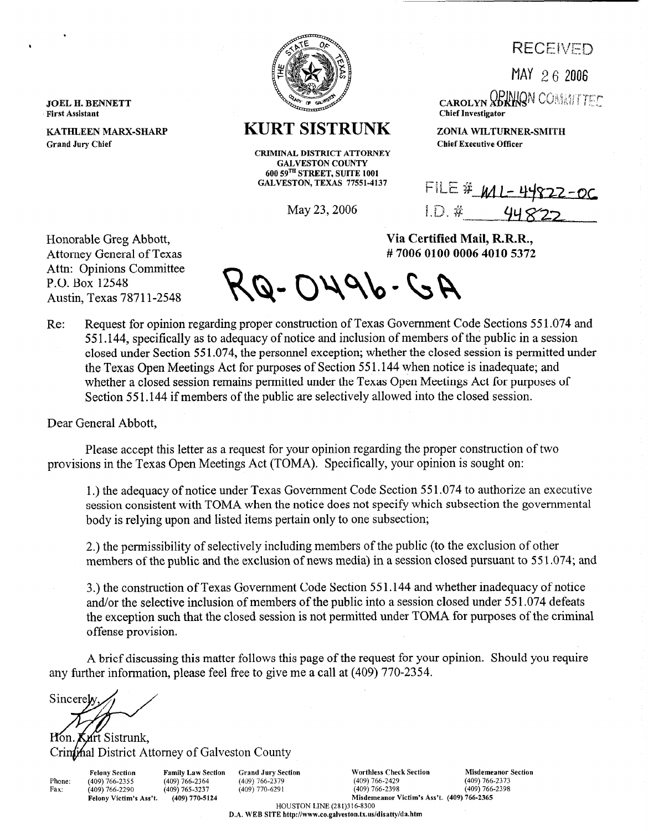**RECEIVED** 

MAY 2 6 *<sup>2006</sup>*



## **KURT SISTRUNK** *ZONIA WILTURNER-SMITH*

**CRIMINAL DISTRICT ATTORNEY GALVESTON COUNTY 600 59TH STREET, SUITE 1001 GALVESTON, TEXAS 77551-4137** 

May 23,2006

CAROLYN **ADKING**N COMMITTEE **Chief Investigator** 

**Chief Executive Officer** 

Via Certified Mail, R.R.R., #70060100000640105372

FILE #  $M1 - 44822 - 0C$  $1D$  #

Honorable Greg Abbott, Attorney General of Texas Attn: Opinions Committee P.O. Box 12548 Austin, Texas 78711-2548

,

**JOEL H. BENNETT First Assistant** 

**Grand Jury Chief** 

**KATHLEEN MARX-SHARP** 

 $AG-OY96-GA$ 

Re: Request for opinion regarding proper construction of Texas Government Code Sections 551.074 and 55 1.144, specifically as to adequacy of notice and inclusion of members of the public in a session closed under Section 55 1.074, the personnel exception; whether the closed session is permitted under the Texas Open Meetings Act for purposes of Section 55 1.144 when notice is inadequate; and whether a closed session remains permitted under the Texas Open Meetings Act for purposes of Section 551.144 if members of the public are selectively allowed into the closed session.

Dear General Abbott,

Please accept this letter as a request for your opinion regarding the proper construction of two provisions in the Texas Open Meetings Act (TOMA). Specifically, your opinion is sought on:

1.) the adequacy of notice under Texas Government Code Section 55 1.074 to authorize an executive session consistent with TOMA when the notice does not specify which subsection the governmental body is relying upon and listed items pertain only to one subsection;

2.) the permissibility of selectively including members of the public (to the exclusion of other members of the public and the exclusion of news media) in a session closed pursuant to 551.074; and

3.) the construction of Texas Government Code Section 55 1.144 and whether inadequacy of notice and/or the selective inclusion of members of the public into a session closed under 551.074 defeats the exception such that the closed session is not permitted under TOMA for purposes of the criminal offense provision.

A brief discussing this matter follows this page of the request for your opinion. Should you require any further information, please feel free to give me a call at (409) 770-2354.

Sincerely

Lurt Sistrunk, Hon. Crinthal District Attorney of Galveston County

Phone: Fax:

 $(409)$  765-3237

Felony Section Family Law Section Grand Jury Section Worthless Check Section Misdemeanor Section<br>
(409) 766-2373 (409) 766-2373 (409) 766-2379 (409) 766-2429 (409) 766-2373 (409) 766-2355 (409) 766-2364 (409) 766-2379 (409) 766-2429 (409) 766-2373

Felony Victim's Ass't. (409) 770-5124 Misdemeanor Victim's Ass't. (409) 766-2365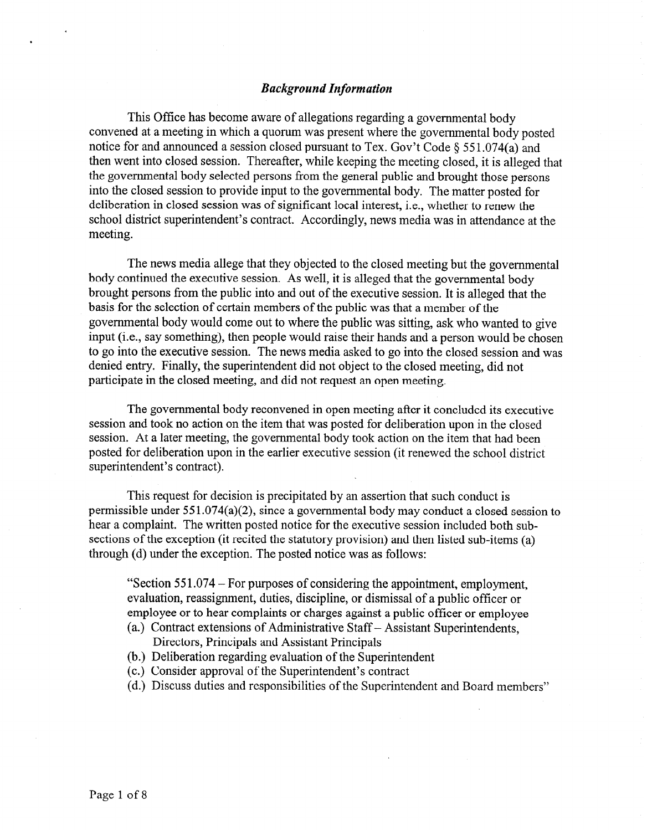## *Background Information*

This Office has become aware of allegations regarding a governmental body convened at a meeting in which a quorum was present where the governmental body posted notice for and announced a session closed pursuant to Tex. Gov't Code  $\S 551.074(a)$  and then went into closed session. Thereafter, while keeping the meeting closed, it is alleged that the governmental body selected persons from the general public and brought those persons into the closed session to provide input to the governmental body. The matter posted for deliberation in closed session was of significant local interest, i.e., whether to renew the school district superintendent's contract. Accordingly, news media was in attendance at the meeting.

The news media allege that they objected to the closed meeting but the governmental body continued the executive session. As well, it is alleged that the governmental body brought persons from the public into and out of the executive session. It is alleged that the basis for the selection of certain members of the public was that a member of the governmental body would come out to where the public was sitting, ask who wanted to give input (i.e., say something), then people would raise their hands and a person would be chosen to go into the executive session. The news media asked to go into the closed session and was denied entry. Finally, the superintendent did not object to the closed meeting, did not participate in the closed meeting, and did not request an open meeting.

The governmental body reconvened in open meeting after it concluded its executive session and took no action on the item that was posted for deliberation upon in the closed session. At a later meeting, the governmental body took action on the item that had been posted for deliberation upon in the earlier executive session (it renewed the school district superintendent's contract).

This request for decision is precipitated by an assertion that such conduct is permissible under 551.074(a)(2), since a governmental body may conduct a closed session to hear a complaint. The written posted notice for the executive session included both subsections of the exception (it recited the statutory provision) and then listed sub-items (a) through (d) under the exception. The posted notice was as follows:

"Section 55 1.074 - For purposes of considering the appointment, employment, evaluation, reassignment, duties, discipline, or dismissal of a public officer or employee or to hear complaints or charges against a public officer or employee

- (a.) Contract extensions of Administrative Staff Assistant Superintendents, Directors, Principals and Assistant Principals
- (b.) Deliberation regarding evaluation of the Superintendent
- (c.) Consider approval of the Superintendent's contract
- (d.) Discuss duties and responsibilities of the Superintendent and Board members"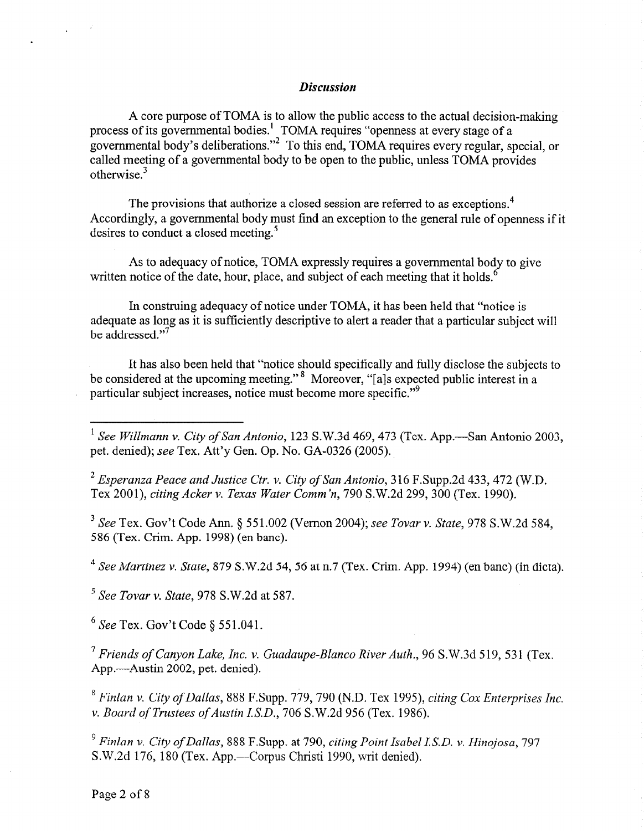## *Discussion*

A core purpose of TOMA is to allow the public access to the actual decision-making process of its governmental bodies.' governmental body's deliberations." TOMA requires "openness at every stage of a To this end, TOMA requires every regular, special, or called meeting of a governmental body to be open to the public, unless TOMA provides otherwise. $3$ 

The provisions that authorize a closed session are referred to as exceptions.<sup>4</sup> Accordingly, a governmental body must find an exception to the general rule of openness if it desires to conduct a closed meeting.<sup>5</sup>

As to adequacy of notice, TOMA expressly requires a governmental body to give written notice of the date, hour, place, and subject of each meeting that it holds.<sup>6</sup>

In construing adequacy of notice under TOMA, it has been held that "notice is adequate as long as it is sufficiently descriptive to alert a reader that a particular subject will be addressed."<sup>7</sup>

It has also been held that "notice should specifically and fully disclose the subjects to be considered at the upcoming meeting."<sup>8</sup> Moreover, "[a]s expected public interest in a particular subject increases, notice must become more specific."<sup>9</sup>

*2 Esperanza Peace and Justice Ctr. v. City of San Antonio,* 316 F.Supp.2d 433,472 (W.D. Tex 2001), *citing Acker v. Texas Water Comm 'n, 790* S.W.2d 299,300 (Tex. 1990).

*3 See* Tex. Gov't Code Ann. *5* 551.002 (Vernon 2004); see *Tovar v. State, 978* S.W.2d 584, 586 (Tex. Crim. App. 1998) (en bane).

*4 See Martinez v. State,* 879 S.W.2d 54, 56 at n.7 (Tex. Crim. App. 1994) (en bane) (in dicta).

*'See Tovar v. State, 978* S.W.2d at 587.

 $6$  See Tex. Gov't Code  $6$  551.041.

*7 Friends of Canyon Lake, Inc. v. Guadaupe-Blanc0 River Auth., 96* S.W.3d 519, 531 (Tex. App.-Austin 2002, pet. denied).

*\* Finlan v. City of Dallas,* 888 F.Supp. *779,790* (N.D. Tex 1995), *citing Cox Enterprises Inc. v. Board of Trustees of Austin I.S.D., 706 S.W.2d 956 (Tex. 1986).* 

*9 Finlan v. City of Dallas,* 888 F.Supp. at *790, citing Point Isabel LSD. v. Hinojosa, 797*  S.W.2d 176, 180 (Tex. App.—Corpus Christi 1990, writ denied).

*<sup>\*</sup> See Willmann v. City of San Antonio,* 123 S.W.3d 469,473 (Tex. App.-San Antonio *2003,*  pet. denied); see Tex. Att'y Gen. Op. No. GA-0326 (2005).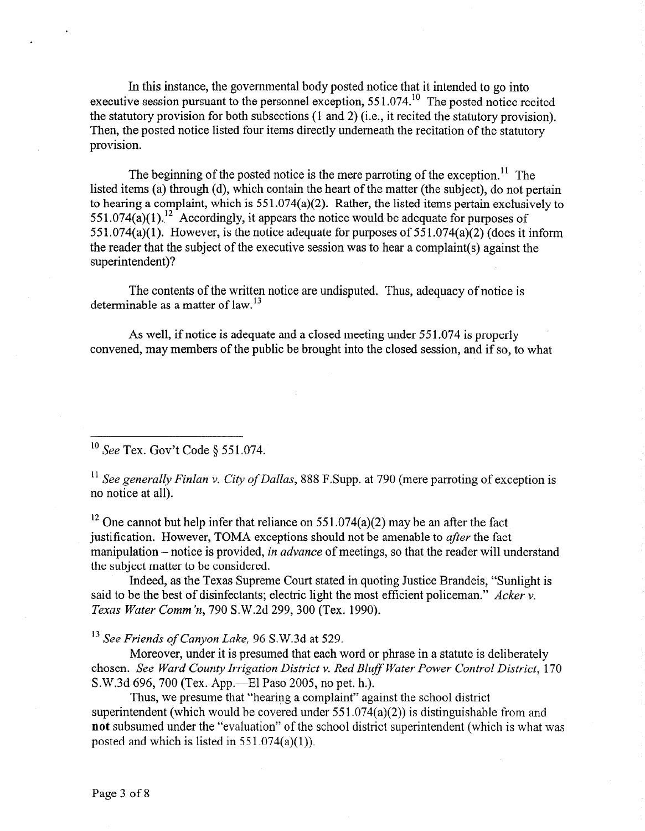In this instance, the governmental body posted notice that it intended to go into executive session pursuant to the personnel exception, 551.074.<sup>10</sup> The posted notice recited the statutory provision for both subsections (1 and 2) (i.e., it recited the statutory provision). Then, the posted notice listed four items directly underneath the recitation of the statutory provision.

The beginning of the posted notice is the mere parroting of the exception.<sup>11</sup> The listed items (a) through (d), which contain the heart of the matter (the subject), do not pertain to hearing a complaint, which is 55 1.074(a)(2). Rather, the listed items pertain exclusively to  $551.074(a)(1)$ .<sup>12</sup> Accordingly, it appears the notice would be adequate for purposes of 551.074(a)(1). However, is the notice adequate for purposes of  $551.074(a)(2)$  (does it inform the reader that the subject of the executive session was to hear a complaint(s) against the superintendent)?

The contents of the written notice are undisputed. Thus, adequacy of notice is determinable as a matter of law.<sup>13</sup>

As well, if notice is adequate and a closed meeting under 55 1.074 is properly convened, may members of the public be brought into the closed session, and if so, to what

 $\frac{10 \text{ See Tex. Gov't Code } $551.074.}$ 

*\*' See generally Finlan v. City of Dallas,* 888 F.Supp. at 790 (mere parroting of exception is no notice at all).

<sup>12</sup> One cannot but help infer that reliance on  $551.074(a)(2)$  may be an after the fact justification. However, TOMA exceptions should not be amenable to *after* the fact manipulation – notice is provided, *in advance* of meetings, so that the reader will understand the subject matter to be considered.

Indeed, as the Texas Supreme Court stated in quoting Justice Brandeis, "Sunlight is said to be the best of disinfectants; electric light the most efficient policeman." *Acker v. Texas Water Comm'n, 790* S.W.2d 299,300 (Tex. 1990).

*I3 See Friends of Canyon Lake, 96* S.W.3d at 529.

Moreover, under it is presumed that each word or phrase in a statute is deliberately chosen. *See Ward County Irrigation District v. Red Bluff Water Power Control District*, 170 S.W.3d 696, 700 (Tex. App.—El Paso 2005, no pet. h.).

Thus, we presume that "hearing a complaint" against the school district superintendent (which would be covered under  $551.074(a)(2)$ ) is distinguishable from and not subsumed under the "evaluation" of the school district superintendent (which is what was posted and which is listed in  $551.074(a)(1)$ .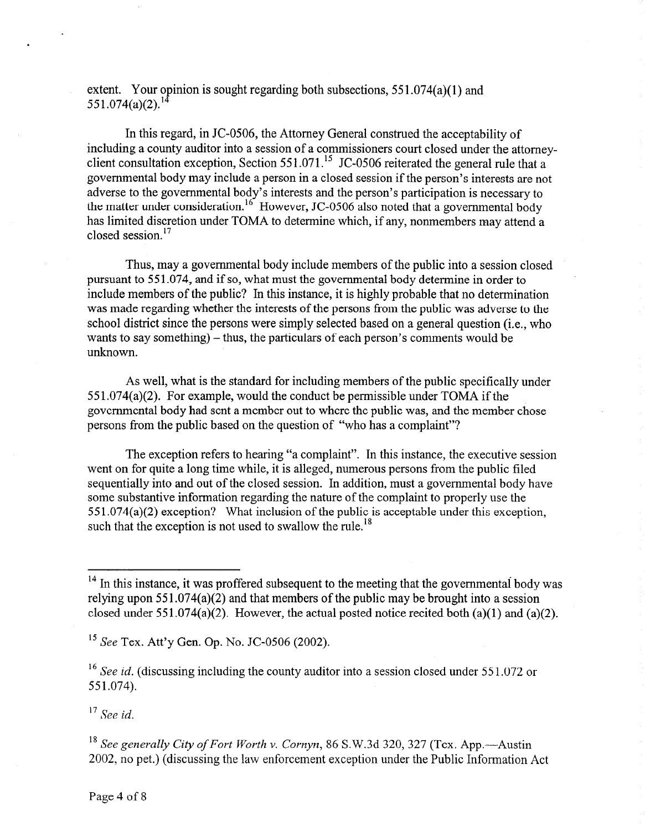extent. Your opinion is sought regarding both subsections,  $551.074(a)(1)$  and  $551.074(a)(2).^{14}$ 

In this regard, in JC-0506, the Attorney General construed the acceptability of including a county auditor into a session of a commissioners court closed under the attomeyclient consultation exception, Section 551.071.<sup>15</sup> JC-0506 reiterated the general rule that a governmental body may include a person in a closed session if the person's interests are not adverse to the governmental body's interests and the person's participation is necessary to the matter under consideration.<sup>16</sup> However, JC-0506 also noted that a governmental body has limited discretion under TOMA to determine which, if any, nonmembers may attend a closed session.<sup>17</sup>

Thus, may a governmental body include members of the public into a session closed pursuant to 55 1.074, and if so, what must the governmental body determine in order to include members of the public? In this instance, it is highly probable that no determination was made regarding whether the interests of the persons from the public was adverse to the school district since the persons were simply selected based on a general question (i.e., who wants to say something)  $-$  thus, the particulars of each person's comments would be unknown.

As well, what is the standard for including members of the public specifically under 55 1.074(a)(2). For example, would the conduct be permissible under TOMA if the governmental body had sent a member out to where the public was, and the member chose persons from the public based on the question of "who has a complaint"?

The exception refers to hearing "a complaint". In this instance, the executive session went on for quite a long time while, it is alleged, numerous persons from the public filed sequentially into and out of the closed session. In addition, must a governmental body have some substantive information regarding the nature of the complaint to properly use the *55* 1.074(a)(2) exception? What inclusion of the public is acceptable under this exception, such that the exception is not used to swallow the rule.<sup>18</sup>

<sup>15</sup> See Tex. Att'y Gen. Op. No. JC-0506 (2002).

<sup>16</sup> See *id.* (discussing including the county auditor into a session closed under 551.072 or 551.074).

*l7 See id.* 

<sup>18</sup> See generally City of Fort Worth v. Cornyn, 86 S.W.3d 320, 327 (Tex. App.—Austin 2002, no pet.) (discussing the law enforcement exception under the Public Information Act

<sup>&</sup>lt;sup>14</sup> In this instance, it was proffered subsequent to the meeting that the governmental body was relying upon  $551.074(a)(2)$  and that members of the public may be brought into a session closed under 551.074(a)(2). However, the actual posted notice recited both (a)(1) and (a)(2).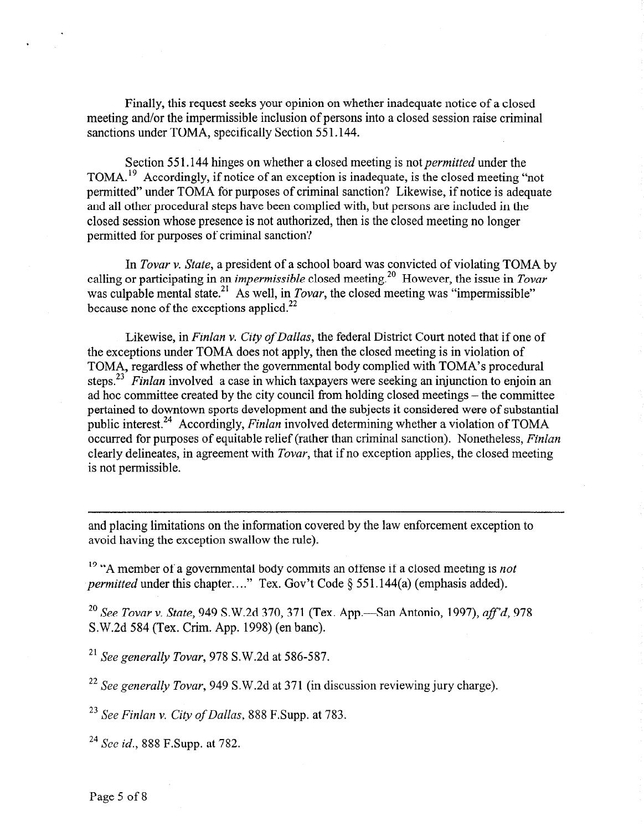Finally, this request seeks your opinion on whether inadequate notice of a closed meeting and/or the impermissible inclusion of persons into a closed session raise criminal sanctions under TOMA, specifically Section 551.144.

Section 55 1.144 hinges on whether a closed meeting is not *permitted* under the TOMA.<sup>19</sup> Accordingly, if notice of an exception is inadequate, is the closed meeting "not permitted" under TOMA for purposes of criminal sanction? Likewise, if notice is adequate and all other procedural steps have been complied with, but persons are included in the closed session whose presence is not authorized, then is the closed meeting no longer permitted for purposes of criminal sanction?

*In Tovar v. State,* a president of a school board was convicted of violating TOMA by calling or participating in *an impermissible* closed meeting.20 However, the issue in *Tovar*  was culpable mental state.<sup>21</sup> As well, in *Tovar*, the closed meeting was "impermissible" because none of the exceptions applied.<sup>22</sup>

Likewise, in *Finlan v. City of Dallas*, the federal District Court noted that if one of the exceptions under TOMA does not apply, then the closed meeting is in violation of TOMA, regardless of whether the governmental body complied with TOMA's procedural steps.23 *Finlan* involved a case in which taxpayers were seeking an injunction to enjoin an ad hoc committee created by the city council from holding closed meetings - the committee pertained to downtown sports development and the subjects it considered were of substantial public interest.24 Accordingly, *Finlan* involved determining whether a violation of TOMA occurred for purposes of equitable relief (rather than criminal sanction). Nonetheless, *Finlan*  clearly delineates, in agreement with *Tovar,* that if no exception applies, the closed meeting is not permissible.

and placing limitations on the information covered by the law enforcement exception to avoid having the exception swallow the rule).

I9 "A member of a governmental body commits an offense if a closed meeting is *not permitted* under this chapter...." Tex. Gov't Code § 551.144(a) (emphasis added).

<sup>20</sup> See Tovar v. State, 949 S.W.2d 370, 371 (Tex. App.—San Antonio, 1997), *aff'd*, 978 S.W.2d 584 (Tex. Crim. App. 1998) (en bane).

*21 See generally Tovar, 978* S.W.2d at 586-587.

*22 See generally Tovar,* 949 S.W.2d at 371 (in discussion reviewing jury charge).

*23 See Finlan v. City of Dallas,* 888 F.Supp. at 783.

24 See *id.,* 888 F.Supp. at 782.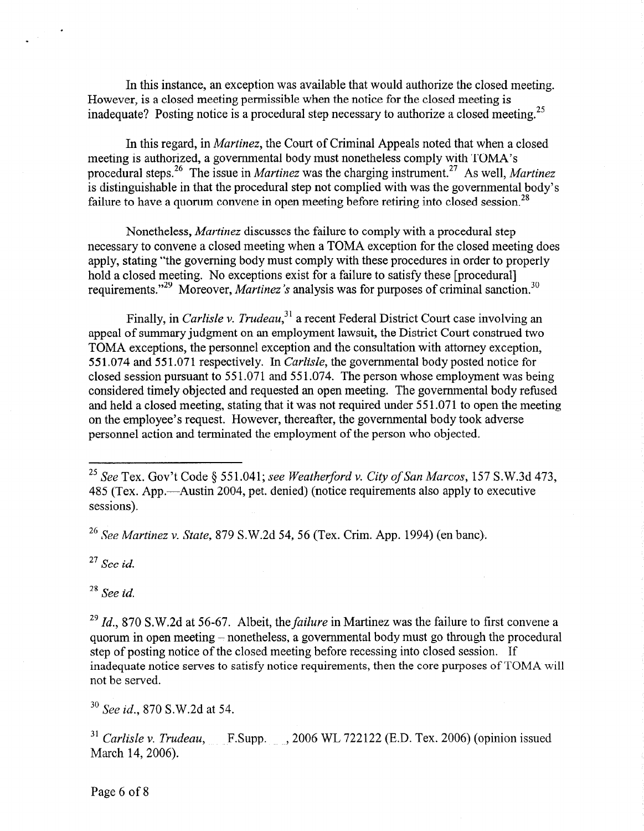In this instance, an exception was available that would authorize the closed meeting. However, is a closed meeting permissible when the notice for the closed meeting is inadequate? Posting notice is a procedural step necessary to authorize a closed meeting.<sup>25</sup>

In this regard, in *Martinez,* the Court of Criminal Appeals noted that when a closed meeting is authorized, a governmental body must nonetheless comply with TOMA's procedural steps.<sup>26</sup> The issue in *Martinez* was the charging instrument.<sup>27</sup> As well, *Martinez* is distinguishable in that the procedural step not complied with was the governmental body's failure to have a quorum convene in open meeting before retiring into closed session.<sup>28</sup>

Nonetheless, *Martinez* discusses the failure to comply with a procedural step necessary to convene a closed meeting when a TOMA exception for the closed meeting does apply, stating "the governing body must comply with these procedures in order to properly hold a closed meeting. No exceptions exist for a failure to satisfy these [procedural] requirements."<sup>29</sup> Moreover, *Martinez's* analysis was for purposes of criminal sanction.<sup>30</sup>

Finally, in *Carlisle v. Trudeau,3'* a recent Federal District Court case involving an appeal of summary judgment on an employment lawsuit, the District Court construed two TOMA exceptions, the personnel exception and the consultation with attorney exception, 551.074 and 55 1.07 1 respectively. *In Carlisle,* the governmental body posted notice for closed session pursuant to 55 1.071 and 55 1.074. The person whose employment was being considered timely objected and requested an open meeting. The governmental body refused and held a closed meeting, stating that it was not required under 55 1.071 to open the meeting on the employee's request. However, thereafter, the governmental body took adverse personnel action and terminated the employment of the person who objected.

*26 See Martinez v. State,* 879 S.W.2d 54, 56 (Tex. Crim. App. 1994) (en bane),.

*27 See id.* 

*28 See id.* 

*3o See id., 870* S.W.2d at 54.

<sup>31</sup> Carlisle v. Trudeau, F.Supp. , 2006 WL 722122 (E.D. Tex. 2006) (opinion issued March 14, 2006).

*<sup>25</sup> See* Tex. Gov't Code *0* 551.041; *see Weatherjbrd v. City of San Marcos,* 157 S.W.3d 473, 485 (Tex. App.—Austin 2004, pet. denied) (notice requirements also apply to executive sessions).

<sup>29</sup> *Id.,* 870 S.W.2d at 56-67. Albeit, the *failure* in Martinez was the failure to first convene a quorum in open meeting - nonetheless, a governmental body must go through the procedural step of posting notice of the closed meeting before recessing into closed session. If inadequate notice serves to satisfy notice requirements, then the core purposes of TOMA will not be served.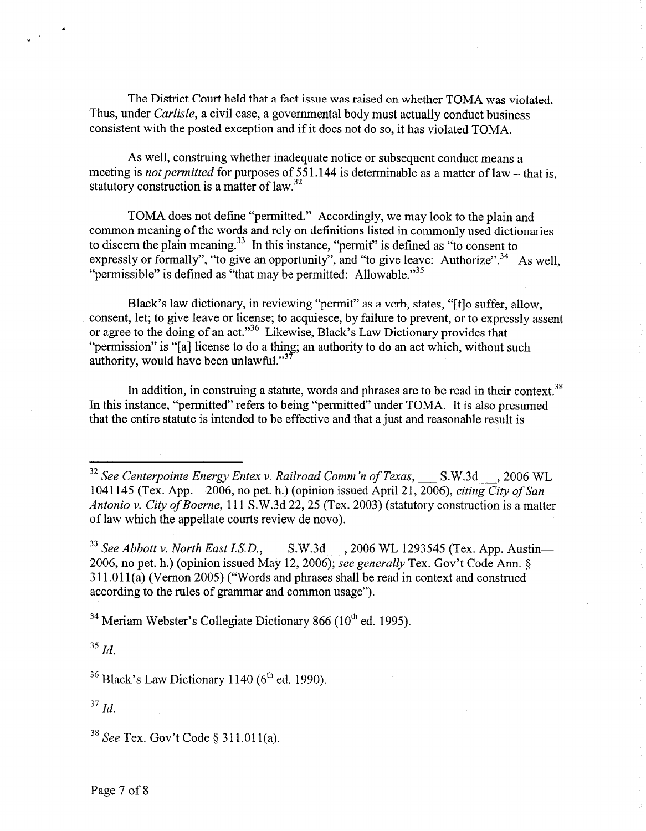The District Court held that a fact issue was raised on whether TOMA was violated. Thus, under *Carlisle,* a civil case, a governmental body must actually conduct business consistent with the posted exception and if it does not do so, it has violated TOMA.

As well, construing whether inadequate notice or subsequent conduct means a meeting is *not permitted* for purposes of 551.144 is determinable as a matter of law - that is, statutory construction is a matter of law.<sup>32</sup>

TOMA does not define "permitted." Accordingly, we may look to the plain and common meaning of the words and rely on definitions listed in commonly used dictionaries to discern the plain meaning.<sup>33</sup> In this instance, "permit" is defined as "to consent to expressly or formally", "to give an opportunity", and "to give leave: Authorize".<sup>34</sup> As well, "permissible" is defined as "that may be permitted: Allowable."<sup>35</sup>

Black's law dictionary, in reviewing "permit" as a verb, states, "[t]o suffer, allow, consent, let; to give leave or license; to acquiesce, by failure to prevent, or to expressly assent or agree to the doing of an act."36 Likewise, Black's Law Dictionary provides that "permission" is "[a] license to do a thing; an authority to do an act which, without such authority, would have been unlawful." $3<sup>7</sup>$ 

In addition, in construing a statute, words and phrases are to be read in their context.<sup>38</sup> In this instance, "permitted" refers to being "permitted" under TOMA. It is also presumed that the entire statute is intended to be effective and that a just and reasonable result is

<sup>32</sup> See Centerpointe Energy Entex v. Railroad Comm'n of Texas, \_\_\_ S.W.3d\_\_\_, 2006 WL 1041145 (Tex. App.-2006, no pet. h.) (opinion issued April 21,2006), *citing City of San Antonio v. City of Boerne,* 111 S.W.3d 22,25 (Tex. 2003) (statutory construction is a matter of law which the appellate courts review de novo).

<sup>33</sup> See Abbott v. North East I.S.D., \_\_\_\_ S.W.3d\_\_\_, 2006 WL 1293545 (Tex. App. Austin-2006, no pet. h.) (opinion issued May 12,2006); *see generally* Tex. Gov't Code Ann. 5 3 11 .Ol 1 (a) (Vernon 2005) ("Words and phrases shall be read in context and construed according to the rules of grammar and common usage").

 $34$  Meriam Webster's Collegiate Dictionary 866 (10<sup>th</sup> ed. 1995).

 $^{35}$  *Id.* 

 $36$  Black's Law Dictionary 1140 ( $6<sup>th</sup>$  ed. 1990).

*37 Id.* 

 $38$  See Tex. Gov't Code  $\S$  311.011(a).